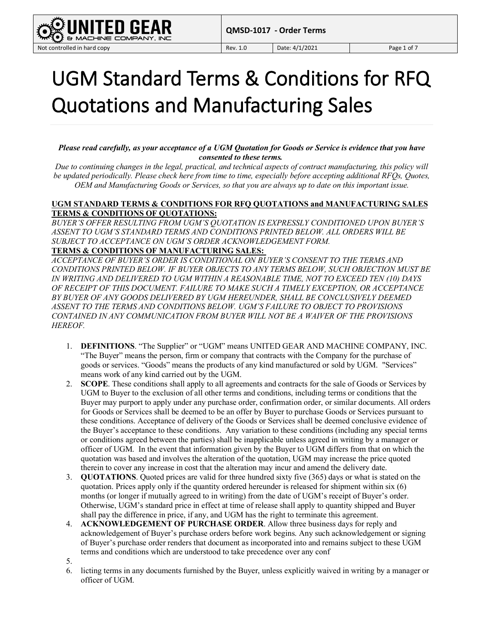

## UGM Standard Terms & Conditions for RFQ Quotations and Manufacturing Sales

*Please read carefully, as your acceptance of a UGM Quotation for Goods or Service is evidence that you have consented to these terms.*

*Due to continuing changes in the legal, practical, and technical aspects of contract manufacturing, this policy will be updated periodically. Please check here from time to time, especially before accepting additional RFQs, Quotes, OEM and Manufacturing Goods or Services, so that you are always up to date on this important issue.*

## **UGM STANDARD TERMS & CONDITIONS FOR RFQ QUOTATIONS and MANUFACTURING SALES TERMS & CONDITIONS OF QUOTATIONS:**

*BUYER'S OFFER RESULTING FROM UGM'S QUOTATION IS EXPRESSLY CONDITIONED UPON BUYER'S ASSENT TO UGM'S STANDARD TERMS AND CONDITIONS PRINTED BELOW. ALL ORDERS WILL BE SUBJECT TO ACCEPTANCE ON UGM'S ORDER ACKNOWLEDGEMENT FORM.*

## **TERMS & CONDITIONS OF MANUFACTURING SALES:**

*ACCEPTANCE OF BUYER'S ORDER IS CONDITIONAL ON BUYER'S CONSENT TO THE TERMS AND CONDITIONS PRINTED BELOW. IF BUYER OBJECTS TO ANY TERMS BELOW, SUCH OBJECTION MUST BE IN WRITING AND DELIVERED TO UGM WITHIN A REASONABLE TIME, NOT TO EXCEED TEN (10) DAYS OF RECEIPT OF THIS DOCUMENT. FAILURE TO MAKE SUCH A TIMELY EXCEPTION, OR ACCEPTANCE*  BY BUYER OF ANY GOODS DELIVERED BY UGM HEREUNDER, SHALL BE CONCLUSIVELY DEEMED *ASSENT TO THE TERMS AND CONDITIONS BELOW. UGM'S FAILURE TO OBJECT TO PROVISIONS CONTAINED IN ANY COMMUNICATION FROM BUYER WILL NOT BE A WAIVER OF THE PROVISIONS HEREOF.*

- 1. **DEFINITIONS**. "The Supplier" or "UGM" means UNITED GEAR AND MACHINE COMPANY, INC. "The Buyer" means the person, firm or company that contracts with the Company for the purchase of goods or services. "Goods" means the products of any kind manufactured or sold by UGM. "Services" means work of any kind carried out by the UGM.
- 2. **SCOPE**. These conditions shall apply to all agreements and contracts for the sale of Goods or Services by UGM to Buyer to the exclusion of all other terms and conditions, including terms or conditions that the Buyer may purport to apply under any purchase order, confirmation order, or similar documents. All orders for Goods or Services shall be deemed to be an offer by Buyer to purchase Goods or Services pursuant to these conditions. Acceptance of delivery of the Goods or Services shall be deemed conclusive evidence of the Buyer's acceptance to these conditions. Any variation to these conditions (including any special terms or conditions agreed between the parties) shall be inapplicable unless agreed in writing by a manager or officer of UGM. In the event that information given by the Buyer to UGM differs from that on which the quotation was based and involves the alteration of the quotation, UGM may increase the price quoted therein to cover any increase in cost that the alteration may incur and amend the delivery date.
- 3. **QUOTATIONS**. Quoted prices are valid for three hundred sixty five (365) days or what is stated on the quotation. Prices apply only if the quantity ordered hereunder is released for shipment within six (6) months (or longer if mutually agreed to in writing) from the date of UGM's receipt of Buyer's order. Otherwise, UGM's standard price in effect at time of release shall apply to quantity shipped and Buyer shall pay the difference in price, if any, and UGM has the right to terminate this agreement.
- 4. **ACKNOWLEDGEMENT OF PURCHASE ORDER**. Allow three business days for reply and acknowledgement of Buyer's purchase orders before work begins. Any such acknowledgement or signing of Buyer's purchase order renders that document as incorporated into and remains subject to these UGM terms and conditions which are understood to take precedence over any conf
- 5.
- 6. licting terms in any documents furnished by the Buyer, unless explicitly waived in writing by a manager or officer of UGM.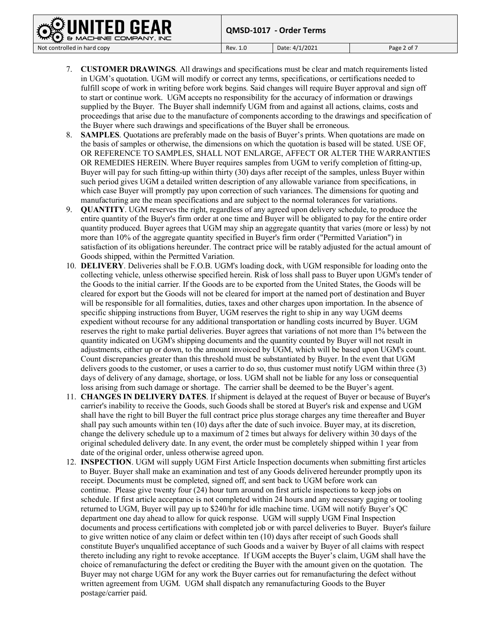**QMSD-1017 - Order Terms**

**& MACK** 

HINE COMPANY, INC

- 7. **CUSTOMER DRAWINGS**. All drawings and specifications must be clear and match requirements listed in UGM's quotation. UGM will modify or correct any terms, specifications, or certifications needed to fulfill scope of work in writing before work begins. Said changes will require Buyer approval and sign off to start or continue work. UGM accepts no responsibility for the accuracy of information or drawings supplied by the Buyer. The Buyer shall indemnify UGM from and against all actions, claims, costs and proceedings that arise due to the manufacture of components according to the drawings and specification of the Buyer where such drawings and specifications of the Buyer shall be erroneous.
- 8. **SAMPLES**. Quotations are preferably made on the basis of Buyer's prints. When quotations are made on the basis of samples or otherwise, the dimensions on which the quotation is based will be stated. USE OF, OR REFERENCE TO SAMPLES, SHALL NOT ENLARGE, AFFECT OR ALTER THE WARRANTIES OR REMEDIES HEREIN. Where Buyer requires samples from UGM to verify completion of fitting-up, Buyer will pay for such fitting-up within thirty (30) days after receipt of the samples, unless Buyer within such period gives UGM a detailed written description of any allowable variance from specifications, in which case Buyer will promptly pay upon correction of such variances. The dimensions for quoting and manufacturing are the mean specifications and are subject to the normal tolerances for variations.
- 9. **QUANTITY**. UGM reserves the right, regardless of any agreed upon delivery schedule, to produce the entire quantity of the Buyer's firm order at one time and Buyer will be obligated to pay for the entire order quantity produced. Buyer agrees that UGM may ship an aggregate quantity that varies (more or less) by not more than 10% of the aggregate quantity specified in Buyer's firm order ("Permitted Variation") in satisfaction of its obligations hereunder. The contract price will be ratably adjusted for the actual amount of Goods shipped, within the Permitted Variation.
- 10. **DELIVERY**. Deliveries shall be F.O.B. UGM's loading dock, with UGM responsible for loading onto the collecting vehicle, unless otherwise specified herein. Risk of loss shall pass to Buyer upon UGM's tender of the Goods to the initial carrier. If the Goods are to be exported from the United States, the Goods will be cleared for export but the Goods will not be cleared for import at the named port of destination and Buyer will be responsible for all formalities, duties, taxes and other charges upon importation. In the absence of specific shipping instructions from Buyer, UGM reserves the right to ship in any way UGM deems expedient without recourse for any additional transportation or handling costs incurred by Buyer. UGM reserves the right to make partial deliveries. Buyer agrees that variations of not more than 1% between the quantity indicated on UGM's shipping documents and the quantity counted by Buyer will not result in adjustments, either up or down, to the amount invoiced by UGM, which will be based upon UGM's count. Count discrepancies greater than this threshold must be substantiated by Buyer. In the event that UGM delivers goods to the customer, or uses a carrier to do so, thus customer must notify UGM within three (3) days of delivery of any damage, shortage, or loss. UGM shall not be liable for any loss or consequential loss arising from such damage or shortage. The carrier shall be deemed to be the Buyer's agent.
- 11. **CHANGES IN DELIVERY DATES**. If shipment is delayed at the request of Buyer or because of Buyer's carrier's inability to receive the Goods, such Goods shall be stored at Buyer's risk and expense and UGM shall have the right to bill Buyer the full contract price plus storage charges any time thereafter and Buyer shall pay such amounts within ten (10) days after the date of such invoice. Buyer may, at its discretion, change the delivery schedule up to a maximum of 2 times but always for delivery within 30 days of the original scheduled delivery date. In any event, the order must be completely shipped within 1 year from date of the original order, unless otherwise agreed upon.
- 12. **INSPECTION**. UGM will supply UGM First Article Inspection documents when submitting first articles to Buyer. Buyer shall make an examination and test of any Goods delivered hereunder promptly upon its receipt. Documents must be completed, signed off, and sent back to UGM before work can continue. Please give twenty four (24) hour turn around on first article inspections to keep jobs on schedule. If first article acceptance is not completed within 24 hours and any necessary gaging or tooling returned to UGM, Buyer will pay up to \$240/hr for idle machine time. UGM will notify Buyer's QC department one day ahead to allow for quick response. UGM will supply UGM Final Inspection documents and process certifications with completed job or with parcel deliveries to Buyer. Buyer's failure to give written notice of any claim or defect within ten (10) days after receipt of such Goods shall constitute Buyer's unqualified acceptance of such Goods and a waiver by Buyer of all claims with respect thereto including any right to revoke acceptance. If UGM accepts the Buyer's claim, UGM shall have the choice of remanufacturing the defect or crediting the Buyer with the amount given on the quotation. The Buyer may not charge UGM for any work the Buyer carries out for remanufacturing the defect without written agreement from UGM. UGM shall dispatch any remanufacturing Goods to the Buyer postage/carrier paid.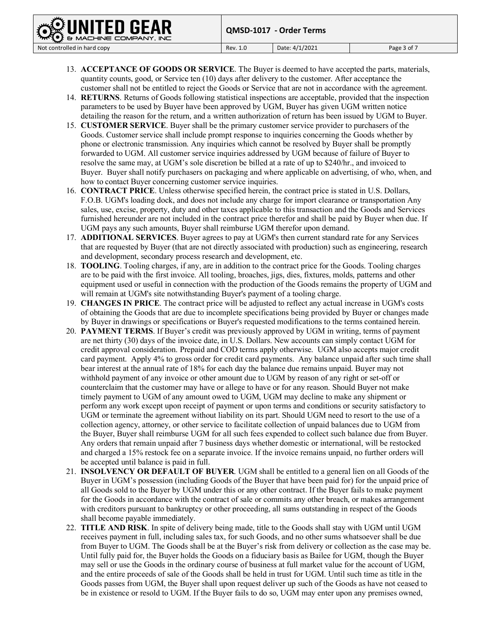IINE COMPANY, INC

- 13. **ACCEPTANCE OF GOODS OR SERVICE**. The Buyer is deemed to have accepted the parts, materials, quantity counts, good, or Service ten (10) days after delivery to the customer. After acceptance the customer shall not be entitled to reject the Goods or Service that are not in accordance with the agreement.
- 14. **RETURNS**. Returns of Goods following statistical inspections are acceptable, provided that the inspection parameters to be used by Buyer have been approved by UGM, Buyer has given UGM written notice detailing the reason for the return, and a written authorization of return has been issued by UGM to Buyer.
- 15. **CUSTOMER SERVICE**. Buyer shall be the primary customer service provider to purchasers of the Goods. Customer service shall include prompt response to inquiries concerning the Goods whether by phone or electronic transmission. Any inquiries which cannot be resolved by Buyer shall be promptly forwarded to UGM. All customer service inquiries addressed by UGM because of failure of Buyer to resolve the same may, at UGM's sole discretion be billed at a rate of up to \$240/hr., and invoiced to Buyer. Buyer shall notify purchasers on packaging and where applicable on advertising, of who, when, and how to contact Buyer concerning customer service inquiries.
- 16. **CONTRACT PRICE**. Unless otherwise specified herein, the contract price is stated in U.S. Dollars, F.O.B. UGM's loading dock, and does not include any charge for import clearance or transportation Any sales, use, excise, property, duty and other taxes applicable to this transaction and the Goods and Services furnished hereunder are not included in the contract price therefor and shall be paid by Buyer when due. If UGM pays any such amounts, Buyer shall reimburse UGM therefor upon demand.
- 17. **ADDITIONAL SERVICES**. Buyer agrees to pay at UGM's then current standard rate for any Services that are requested by Buyer (that are not directly associated with production) such as engineering, research and development, secondary process research and development, etc.
- 18. **TOOLING**. Tooling charges, if any, are in addition to the contract price for the Goods. Tooling charges are to be paid with the first invoice. All tooling, broaches, jigs, dies, fixtures, molds, patterns and other equipment used or useful in connection with the production of the Goods remains the property of UGM and will remain at UGM's site notwithstanding Buyer's payment of a tooling charge.
- 19. **CHANGES IN PRICE**. The contract price will be adjusted to reflect any actual increase in UGM's costs of obtaining the Goods that are due to incomplete specifications being provided by Buyer or changes made by Buyer in drawings or specifications or Buyer's requested modifications to the terms contained herein.
- 20. **PAYMENT TERMS**. If Buyer's credit was previously approved by UGM in writing, terms of payment are net thirty (30) days of the invoice date, in U.S. Dollars. New accounts can simply contact UGM for credit approval consideration. Prepaid and COD terms apply otherwise. UGM also accepts major credit card payment. Apply 4% to gross order for credit card payments. Any balance unpaid after such time shall bear interest at the annual rate of 18% for each day the balance due remains unpaid. Buyer may not withhold payment of any invoice or other amount due to UGM by reason of any right or set-off or counterclaim that the customer may have or allege to have or for any reason. Should Buyer not make timely payment to UGM of any amount owed to UGM, UGM may decline to make any shipment or perform any work except upon receipt of payment or upon terms and conditions or security satisfactory to UGM or terminate the agreement without liability on its part. Should UGM need to resort to the use of a collection agency, attorney, or other service to facilitate collection of unpaid balances due to UGM from the Buyer, Buyer shall reimburse UGM for all such fees expended to collect such balance due from Buyer. Any orders that remain unpaid after 7 business days whether domestic or international, will be restocked and charged a 15% restock fee on a separate invoice. If the invoice remains unpaid, no further orders will be accepted until balance is paid in full.
- 21. **INSOLVENCY OR DEFAULT OF BUYER**. UGM shall be entitled to a general lien on all Goods of the Buyer in UGM's possession (including Goods of the Buyer that have been paid for) for the unpaid price of all Goods sold to the Buyer by UGM under this or any other contract. If the Buyer fails to make payment for the Goods in accordance with the contract of sale or commits any other breach, or makes arrangement with creditors pursuant to bankruptcy or other proceeding, all sums outstanding in respect of the Goods shall become payable immediately.
- 22. **TITLE AND RISK**. In spite of delivery being made, title to the Goods shall stay with UGM until UGM receives payment in full, including sales tax, for such Goods, and no other sums whatsoever shall be due from Buyer to UGM. The Goods shall be at the Buyer's risk from delivery or collection as the case may be. Until fully paid for, the Buyer holds the Goods on a fiduciary basis as Bailee for UGM, though the Buyer may sell or use the Goods in the ordinary course of business at full market value for the account of UGM, and the entire proceeds of sale of the Goods shall be held in trust for UGM. Until such time as title in the Goods passes from UGM, the Buyer shall upon request deliver up such of the Goods as have not ceased to be in existence or resold to UGM. If the Buyer fails to do so, UGM may enter upon any premises owned,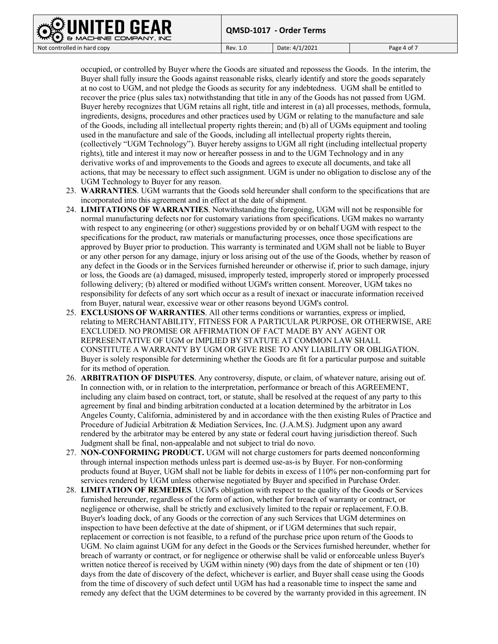occupied, or controlled by Buyer where the Goods are situated and repossess the Goods. In the interim, the Buyer shall fully insure the Goods against reasonable risks, clearly identify and store the goods separately at no cost to UGM, and not pledge the Goods as security for any indebtedness. UGM shall be entitled to recover the price (plus sales tax) notwithstanding that title in any of the Goods has not passed from UGM. Buyer hereby recognizes that UGM retains all right, title and interest in (a) all processes, methods, formula, ingredients, designs, procedures and other practices used by UGM or relating to the manufacture and sale of the Goods, including all intellectual property rights therein; and (b) all of UGMs equipment and tooling used in the manufacture and sale of the Goods, including all intellectual property rights therein, (collectively "UGM Technology"). Buyer hereby assigns to UGM all right (including intellectual property rights), title and interest it may now or hereafter possess in and to the UGM Technology and in any derivative works of and improvements to the Goods and agrees to execute all documents, and take all actions, that may be necessary to effect such assignment. UGM is under no obligation to disclose any of the UGM Technology to Buyer for any reason.

- 23. **WARRANTIES**. UGM warrants that the Goods sold hereunder shall conform to the specifications that are incorporated into this agreement and in effect at the date of shipment.
- 24. **LIMITATIONS OF WARRANTIES**. Notwithstanding the foregoing, UGM will not be responsible for normal manufacturing defects nor for customary variations from specifications. UGM makes no warranty with respect to any engineering (or other) suggestions provided by or on behalf UGM with respect to the specifications for the product, raw materials or manufacturing processes, once those specifications are approved by Buyer prior to production. This warranty is terminated and UGM shall not be liable to Buyer or any other person for any damage, injury or loss arising out of the use of the Goods, whether by reason of any defect in the Goods or in the Services furnished hereunder or otherwise if, prior to such damage, injury or loss, the Goods are (a) damaged, misused, improperly tested, improperly stored or improperly processed following delivery; (b) altered or modified without UGM's written consent. Moreover, UGM takes no responsibility for defects of any sort which occur as a result of inexact or inaccurate information received from Buyer, natural wear, excessive wear or other reasons beyond UGM's control.
- 25. **EXCLUSIONS OF WARRANTIES**. All other terms conditions or warranties, express or implied, relating to MERCHANTABILITY, FITNESS FOR A PARTICULAR PURPOSE, OR OTHERWISE, ARE EXCLUDED. NO PROMISE OR AFFIRMATION OF FACT MADE BY ANY AGENT OR REPRESENTATIVE OF UGM or IMPLIED BY STATUTE AT COMMON LAW SHALL CONSTITUTE A WARRANTY BY UGM OR GIVE RISE TO ANY LIABILITY OR OBLIGATION. Buyer is solely responsible for determining whether the Goods are fit for a particular purpose and suitable for its method of operation.
- 26. **ARBITRATION OF DISPUTES**. Any controversy, dispute, or claim, of whatever nature, arising out of. In connection with, or in relation to the interpretation, performance or breach of this AGREEMENT, including any claim based on contract, tort, or statute, shall be resolved at the request of any party to this agreement by final and binding arbitration conducted at a location determined by the arbitrator in Los Angeles County, California, administered by and in accordance with the then existing Rules of Practice and Procedure of Judicial Arbitration & Mediation Services, Inc. (J.A.M.S). Judgment upon any award rendered by the arbitrator may be entered by any state or federal court having jurisdiction thereof. Such Judgment shall be final, non-appealable and not subject to trial do novo.
- 27. **NON-CONFORMING PRODUCT.** UGM will not charge customers for parts deemed nonconforming through internal inspection methods unless part is deemed use-as-is by Buyer. For non-conforming products found at Buyer, UGM shall not be liable for debits in excess of 110% per non-conforming part for services rendered by UGM unless otherwise negotiated by Buyer and specified in Purchase Order.
- 28. **LIMITATION OF REMEDIES**. UGM's obligation with respect to the quality of the Goods or Services furnished hereunder, regardless of the form of action, whether for breach of warranty or contract, or negligence or otherwise, shall be strictly and exclusively limited to the repair or replacement, F.O.B. Buyer's loading dock, of any Goods or the correction of any such Services that UGM determines on inspection to have been defective at the date of shipment, or if UGM determines that such repair, replacement or correction is not feasible, to a refund of the purchase price upon return of the Goods to UGM. No claim against UGM for any defect in the Goods or the Services furnished hereunder, whether for breach of warranty or contract, or for negligence or otherwise shall be valid or enforceable unless Buyer's written notice thereof is received by UGM within ninety (90) days from the date of shipment or ten (10) days from the date of discovery of the defect, whichever is earlier, and Buyer shall cease using the Goods from the time of discovery of such defect until UGM has had a reasonable time to inspect the same and remedy any defect that the UGM determines to be covered by the warranty provided in this agreement. IN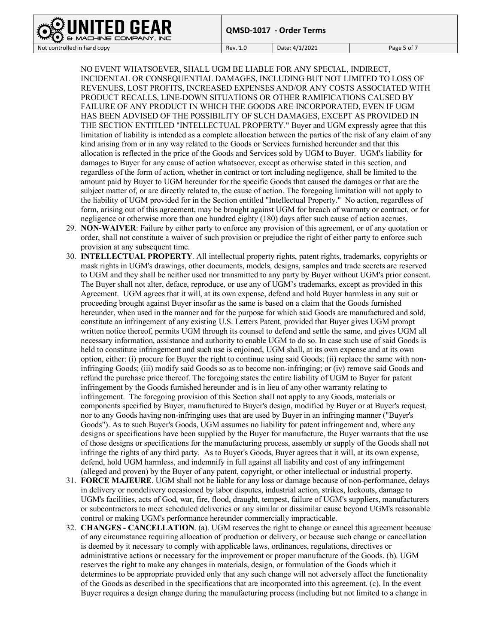## HINE COMPANY, INC

**QMSD-1017 - Order Terms**

Not controlled in hard copy **Rev. 1.0** Rev. 1.0 **Date: 4/1/2021 Page 5 of 7** 

NO EVENT WHATSOEVER, SHALL UGM BE LIABLE FOR ANY SPECIAL, INDIRECT, INCIDENTAL OR CONSEQUENTIAL DAMAGES, INCLUDING BUT NOT LIMITED TO LOSS OF REVENUES, LOST PROFITS, INCREASED EXPENSES AND/OR ANY COSTS ASSOCIATED WITH PRODUCT RECALLS, LINE-DOWN SITUATIONS OR OTHER RAMIFICATIONS CAUSED BY FAILURE OF ANY PRODUCT IN WHICH THE GOODS ARE INCORPORATED, EVEN IF UGM HAS BEEN ADVISED OF THE POSSIBILITY OF SUCH DAMAGES, EXCEPT AS PROVIDED IN THE SECTION ENTITLED "INTELLECTUAL PROPERTY." Buyer and UGM expressly agree that this limitation of liability is intended as a complete allocation between the parties of the risk of any claim of any kind arising from or in any way related to the Goods or Services furnished hereunder and that this allocation is reflected in the price of the Goods and Services sold by UGM to Buyer. UGM's liability for damages to Buyer for any cause of action whatsoever, except as otherwise stated in this section, and regardless of the form of action, whether in contract or tort including negligence, shall be limited to the amount paid by Buyer to UGM hereunder for the specific Goods that caused the damages or that are the subject matter of, or are directly related to, the cause of action. The foregoing limitation will not apply to the liability of UGM provided for in the Section entitled "Intellectual Property." No action, regardless of form, arising out of this agreement, may be brought against UGM for breach of warranty or contract, or for negligence or otherwise more than one hundred eighty (180) days after such cause of action accrues.

- 29. **NON-WAIVER**: Failure by either party to enforce any provision of this agreement, or of any quotation or order, shall not constitute a waiver of such provision or prejudice the right of either party to enforce such provision at any subsequent time.
- 30. **INTELLECTUAL PROPERTY**. All intellectual property rights, patent rights, trademarks, copyrights or mask rights in UGM's drawings, other documents, models, designs, samples and trade secrets are reserved to UGM and they shall be neither used nor transmitted to any party by Buyer without UGM's prior consent. The Buyer shall not alter, deface, reproduce, or use any of UGM's trademarks, except as provided in this Agreement. UGM agrees that it will, at its own expense, defend and hold Buyer harmless in any suit or proceeding brought against Buyer insofar as the same is based on a claim that the Goods furnished hereunder, when used in the manner and for the purpose for which said Goods are manufactured and sold, constitute an infringement of any existing U.S. Letters Patent, provided that Buyer gives UGM prompt written notice thereof, permits UGM through its counsel to defend and settle the same, and gives UGM all necessary information, assistance and authority to enable UGM to do so. In case such use of said Goods is held to constitute infringement and such use is enjoined, UGM shall, at its own expense and at its own option, either: (i) procure for Buyer the right to continue using said Goods; (ii) replace the same with noninfringing Goods; (iii) modify said Goods so as to become non-infringing; or (iv) remove said Goods and refund the purchase price thereof. The foregoing states the entire liability of UGM to Buyer for patent infringement by the Goods furnished hereunder and is in lieu of any other warranty relating to infringement. The foregoing provision of this Section shall not apply to any Goods, materials or components specified by Buyer, manufactured to Buyer's design, modified by Buyer or at Buyer's request, nor to any Goods having non-infringing uses that are used by Buyer in an infringing manner ("Buyer's Goods"). As to such Buyer's Goods, UGM assumes no liability for patent infringement and, where any designs or specifications have been supplied by the Buyer for manufacture, the Buyer warrants that the use of those designs or specifications for the manufacturing process, assembly or supply of the Goods shall not infringe the rights of any third party. As to Buyer's Goods, Buyer agrees that it will, at its own expense, defend, hold UGM harmless, and indemnify in full against all liability and cost of any infringement (alleged and proven) by the Buyer of any patent, copyright, or other intellectual or industrial property.
- 31. **FORCE MAJEURE**. UGM shall not be liable for any loss or damage because of non-performance, delays in delivery or nondelivery occasioned by labor disputes, industrial action, strikes, lockouts, damage to UGM's facilities, acts of God, war, fire, flood, draught, tempest, failure of UGM's suppliers, manufacturers or subcontractors to meet scheduled deliveries or any similar or dissimilar cause beyond UGM's reasonable control or making UGM's performance hereunder commercially impracticable.
- 32. **CHANGES - CANCELLATION**. (a). UGM reserves the right to change or cancel this agreement because of any circumstance requiring allocation of production or delivery, or because such change or cancellation is deemed by it necessary to comply with applicable laws, ordinances, regulations, directives or administrative actions or necessary for the improvement or proper manufacture of the Goods. (b). UGM reserves the right to make any changes in materials, design, or formulation of the Goods which it determines to be appropriate provided only that any such change will not adversely affect the functionality of the Goods as described in the specifications that are incorporated into this agreement. (c). In the event Buyer requires a design change during the manufacturing process (including but not limited to a change in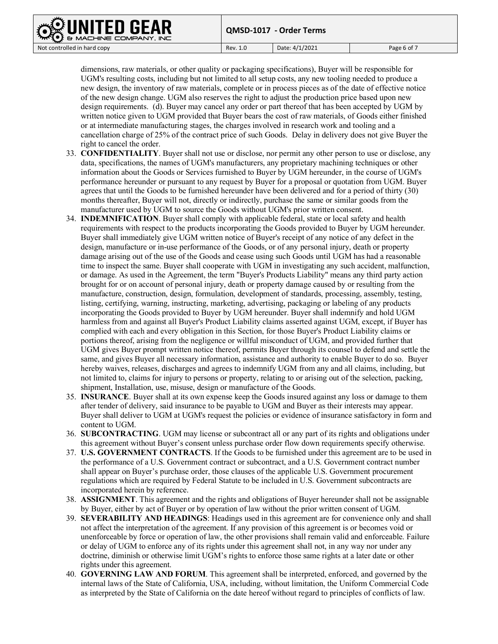

dimensions, raw materials, or other quality or packaging specifications), Buyer will be responsible for UGM's resulting costs, including but not limited to all setup costs, any new tooling needed to produce a new design, the inventory of raw materials, complete or in process pieces as of the date of effective notice of the new design change. UGM also reserves the right to adjust the production price based upon new design requirements. (d). Buyer may cancel any order or part thereof that has been accepted by UGM by written notice given to UGM provided that Buyer bears the cost of raw materials, of Goods either finished or at intermediate manufacturing stages, the charges involved in research work and tooling and a cancellation charge of 25% of the contract price of such Goods. Delay in delivery does not give Buyer the right to cancel the order.

- 33. **CONFIDENTIALITY**. Buyer shall not use or disclose, nor permit any other person to use or disclose, any data, specifications, the names of UGM's manufacturers, any proprietary machining techniques or other information about the Goods or Services furnished to Buyer by UGM hereunder, in the course of UGM's performance hereunder or pursuant to any request by Buyer for a proposal or quotation from UGM. Buyer agrees that until the Goods to be furnished hereunder have been delivered and for a period of thirty (30) months thereafter, Buyer will not, directly or indirectly, purchase the same or similar goods from the manufacturer used by UGM to source the Goods without UGM's prior written consent.
- 34. **INDEMNIFICATION**. Buyer shall comply with applicable federal, state or local safety and health requirements with respect to the products incorporating the Goods provided to Buyer by UGM hereunder. Buyer shall immediately give UGM written notice of Buyer's receipt of any notice of any defect in the design, manufacture or in-use performance of the Goods, or of any personal injury, death or property damage arising out of the use of the Goods and cease using such Goods until UGM has had a reasonable time to inspect the same. Buyer shall cooperate with UGM in investigating any such accident, malfunction, or damage. As used in the Agreement, the term "Buyer's Products Liability" means any third party action brought for or on account of personal injury, death or property damage caused by or resulting from the manufacture, construction, design, formulation, development of standards, processing, assembly, testing, listing, certifying, warning, instructing, marketing, advertising, packaging or labeling of any products incorporating the Goods provided to Buyer by UGM hereunder. Buyer shall indemnify and hold UGM harmless from and against all Buyer's Product Liability claims asserted against UGM, except, if Buyer has complied with each and every obligation in this Section, for those Buyer's Product Liability claims or portions thereof, arising from the negligence or willful misconduct of UGM, and provided further that UGM gives Buyer prompt written notice thereof, permits Buyer through its counsel to defend and settle the same, and gives Buyer all necessary information, assistance and authority to enable Buyer to do so. Buyer hereby waives, releases, discharges and agrees to indemnify UGM from any and all claims, including, but not limited to, claims for injury to persons or property, relating to or arising out of the selection, packing, shipment, Installation, use, misuse, design or manufacture of the Goods.
- 35. **INSURANCE**. Buyer shall at its own expense keep the Goods insured against any loss or damage to them after tender of delivery, said insurance to be payable to UGM and Buyer as their interests may appear. Buyer shall deliver to UGM at UGM's request the policies or evidence of insurance satisfactory in form and content to UGM.
- 36. **SUBCONTRACTING**. UGM may license or subcontract all or any part of its rights and obligations under this agreement without Buyer's consent unless purchase order flow down requirements specify otherwise.
- 37. **U.S. GOVERNMENT CONTRACTS**. If the Goods to be furnished under this agreement are to be used in the performance of a U.S. Government contract or subcontract, and a U.S. Government contract number shall appear on Buyer's purchase order, those clauses of the applicable U.S. Government procurement regulations which are required by Federal Statute to be included in U.S. Government subcontracts are incorporated herein by reference.
- 38. **ASSIGNMENT**. This agreement and the rights and obligations of Buyer hereunder shall not be assignable by Buyer, either by act of Buyer or by operation of law without the prior written consent of UGM.
- 39. **SEVERABILITY AND HEADINGS**: Headings used in this agreement are for convenience only and shall not affect the interpretation of the agreement. If any provision of this agreement is or becomes void or unenforceable by force or operation of law, the other provisions shall remain valid and enforceable. Failure or delay of UGM to enforce any of its rights under this agreement shall not, in any way nor under any doctrine, diminish or otherwise limit UGM's rights to enforce those same rights at a later date or other rights under this agreement.
- 40. **GOVERNING LAW AND FORUM**. This agreement shall be interpreted, enforced, and governed by the internal laws of the State of California, USA, including, without limitation, the Uniform Commercial Code as interpreted by the State of California on the date hereof without regard to principles of conflicts of law.